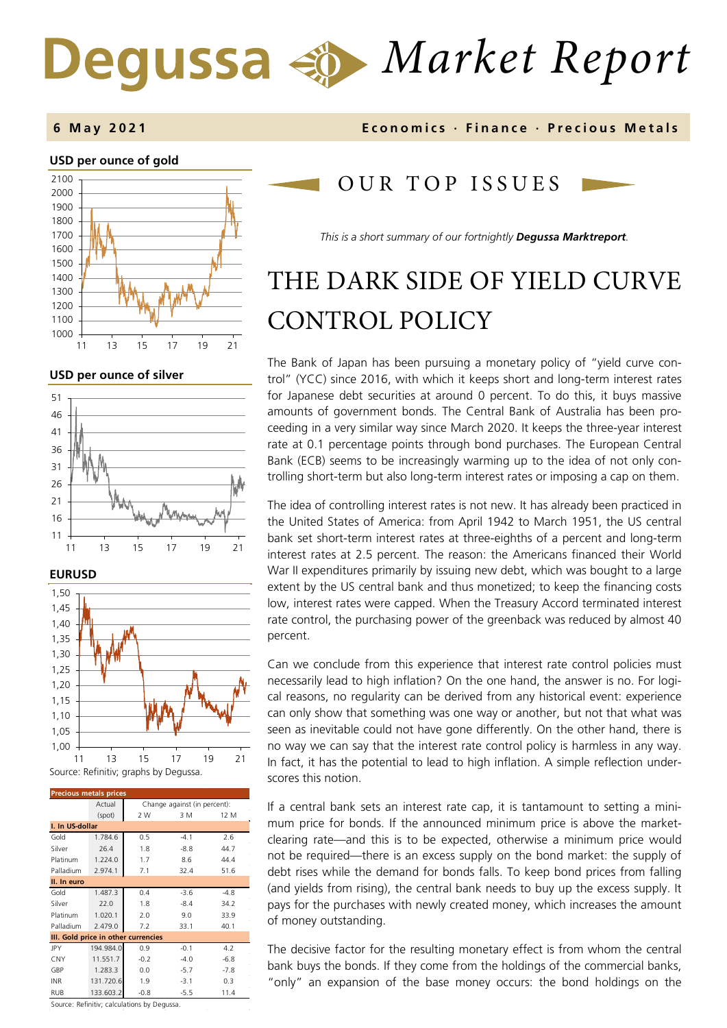# *Market Report*

## **6 May 202 1 Economics · Finance · Precious M etals**

## **USD per ounce of gold**



**USD per ounce of silver** 





| <b>Precious metals prices</b>       |           |                              |        |        |  |
|-------------------------------------|-----------|------------------------------|--------|--------|--|
|                                     | Actual    | Change against (in percent): |        |        |  |
|                                     | (spot)    | 2 W                          | 3 M    | 12 M   |  |
| I. In US-dollar                     |           |                              |        |        |  |
| Gold                                | 1.784.6   | 0.5                          | $-4.1$ | 2.6    |  |
| Silver                              | 26.4      | 1.8                          | $-8.8$ | 44.7   |  |
| Platinum                            | 1.224.0   | 1.7                          | 8.6    | 44.4   |  |
| Palladium                           | 2.974.1   | 7.1                          | 32.4   | 51.6   |  |
| II. In euro                         |           |                              |        |        |  |
| Gold                                | 1.487.3   | 0.4                          | $-3.6$ | $-4.8$ |  |
| Silver                              | 22.0      | 1.8                          | $-8.4$ | 34.2   |  |
| Platinum                            | 1.020.1   | 2.0                          | 9.0    | 33.9   |  |
| Palladium                           | 2.479.0   | 7.2                          | 33.1   | 40.1   |  |
| III. Gold price in other currencies |           |                              |        |        |  |
| JPY                                 | 194.984.0 | 0.9                          | $-0.1$ | 4.2    |  |
| <b>CNY</b>                          | 11.551.7  | $-0.2$                       | $-4.0$ | $-6.8$ |  |
| GBP                                 | 1.283.3   | 0.0                          | $-5.7$ | $-7.8$ |  |
| <b>INR</b>                          | 131.720.6 | 1.9                          | $-3.1$ | 0.3    |  |
| RUB                                 | 133.603.2 | $-0.8$                       | $-5.5$ | 11.4   |  |

Source: Refinitiv; calculations by Degussa.

## OUR TOP ISSUE S

*This is a short summary of our fortnightly Degussa Marktreport.*

## THE DARK SIDE OF YIELD CURVE CONTROL POLICY

The Bank of Japan has been pursuing a monetary policy of "yield curve control" (YCC) since 2016, with which it keeps short and long-term interest rates for Japanese debt securities at around 0 percent. To do this, it buys massive amounts of government bonds. The Central Bank of Australia has been proceeding in a very similar way since March 2020. It keeps the three-year interest rate at 0.1 percentage points through bond purchases. The European Central Bank (ECB) seems to be increasingly warming up to the idea of not only controlling short-term but also long-term interest rates or imposing a cap on them.

The idea of controlling interest rates is not new. It has already been practiced in the United States of America: from April 1942 to March 1951, the US central bank set short-term interest rates at three-eighths of a percent and long-term interest rates at 2.5 percent. The reason: the Americans financed their World War II expenditures primarily by issuing new debt, which was bought to a large extent by the US central bank and thus monetized; to keep the financing costs low, interest rates were capped. When the Treasury Accord terminated interest rate control, the purchasing power of the greenback was reduced by almost 40 percent.

Can we conclude from this experience that interest rate control policies must necessarily lead to high inflation? On the one hand, the answer is no. For logical reasons, no regularity can be derived from any historical event: experience can only show that something was one way or another, but not that what was seen as inevitable could not have gone differently. On the other hand, there is no way we can say that the interest rate control policy is harmless in any way. In fact, it has the potential to lead to high inflation. A simple reflection underscores this notion.

If a central bank sets an interest rate cap, it is tantamount to setting a minimum price for bonds. If the announced minimum price is above the marketclearing rate—and this is to be expected, otherwise a minimum price would not be required—there is an excess supply on the bond market: the supply of debt rises while the demand for bonds falls. To keep bond prices from falling (and yields from rising), the central bank needs to buy up the excess supply. It pays for the purchases with newly created money, which increases the amount of money outstanding.

The decisive factor for the resulting monetary effect is from whom the central bank buys the bonds. If they come from the holdings of the commercial banks, "only" an expansion of the base money occurs: the bond holdings on the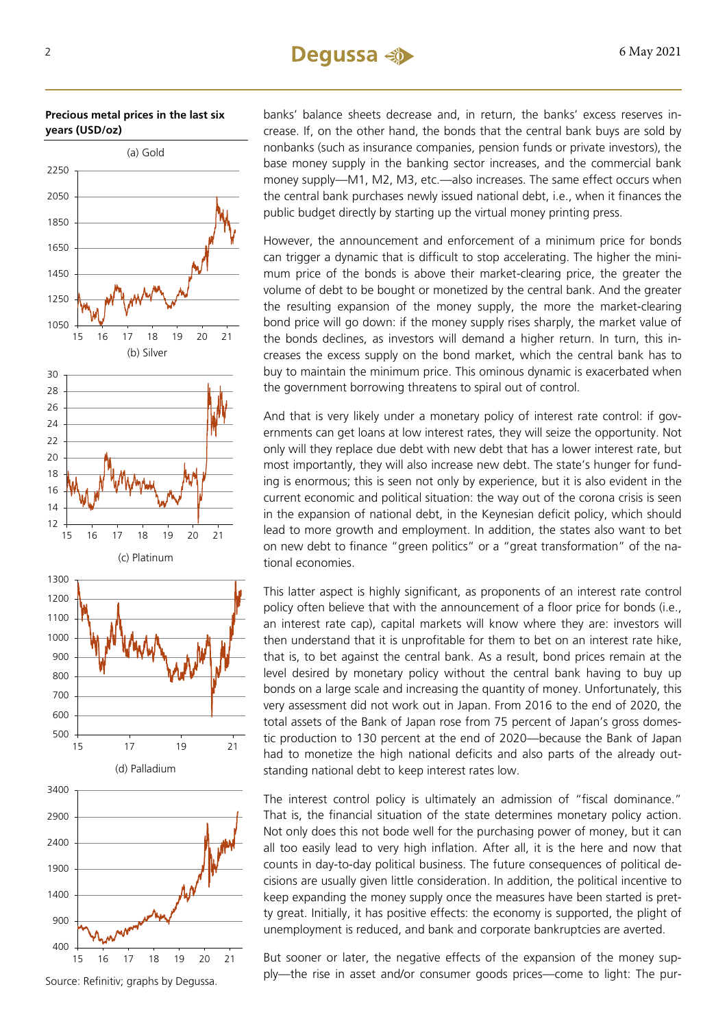## $2 \qquad 6$  May 2021

## **Precious metal prices in the last six years (USD/oz)**



Source: Refinitiv; graphs by Degussa.

banks' balance sheets decrease and, in return, the banks' excess reserves increase. If, on the other hand, the bonds that the central bank buys are sold by nonbanks (such as insurance companies, pension funds or private investors), the base money supply in the banking sector increases, and the commercial bank money supply—M1, M2, M3, etc.—also increases. The same effect occurs when the central bank purchases newly issued national debt, i.e., when it finances the public budget directly by starting up the virtual money printing press.

However, the announcement and enforcement of a minimum price for bonds can trigger a dynamic that is difficult to stop accelerating. The higher the minimum price of the bonds is above their market-clearing price, the greater the volume of debt to be bought or monetized by the central bank. And the greater the resulting expansion of the money supply, the more the market-clearing bond price will go down: if the money supply rises sharply, the market value of the bonds declines, as investors will demand a higher return. In turn, this increases the excess supply on the bond market, which the central bank has to buy to maintain the minimum price. This ominous dynamic is exacerbated when the government borrowing threatens to spiral out of control.

And that is very likely under a monetary policy of interest rate control: if governments can get loans at low interest rates, they will seize the opportunity. Not only will they replace due debt with new debt that has a lower interest rate, but most importantly, they will also increase new debt. The state's hunger for funding is enormous; this is seen not only by experience, but it is also evident in the current economic and political situation: the way out of the corona crisis is seen in the expansion of national debt, in the Keynesian deficit policy, which should lead to more growth and employment. In addition, the states also want to bet on new debt to finance "green politics" or a "great transformation" of the national economies.

This latter aspect is highly significant, as proponents of an interest rate control policy often believe that with the announcement of a floor price for bonds (i.e., an interest rate cap), capital markets will know where they are: investors will then understand that it is unprofitable for them to bet on an interest rate hike, that is, to bet against the central bank. As a result, bond prices remain at the level desired by monetary policy without the central bank having to buy up bonds on a large scale and increasing the quantity of money. Unfortunately, this very assessment did not work out in Japan. From 2016 to the end of 2020, the total assets of the Bank of Japan rose from 75 percent of Japan's gross domestic production to 130 percent at the end of 2020—because the Bank of Japan had to monetize the high national deficits and also parts of the already outstanding national debt to keep interest rates low.

The interest control policy is ultimately an admission of "fiscal dominance." That is, the financial situation of the state determines monetary policy action. Not only does this not bode well for the purchasing power of money, but it can all too easily lead to very high inflation. After all, it is the here and now that counts in day-to-day political business. The future consequences of political decisions are usually given little consideration. In addition, the political incentive to keep expanding the money supply once the measures have been started is pretty great. Initially, it has positive effects: the economy is supported, the plight of unemployment is reduced, and bank and corporate bankruptcies are averted.

But sooner or later, the negative effects of the expansion of the money supply—the rise in asset and/or consumer goods prices—come to light: The pur-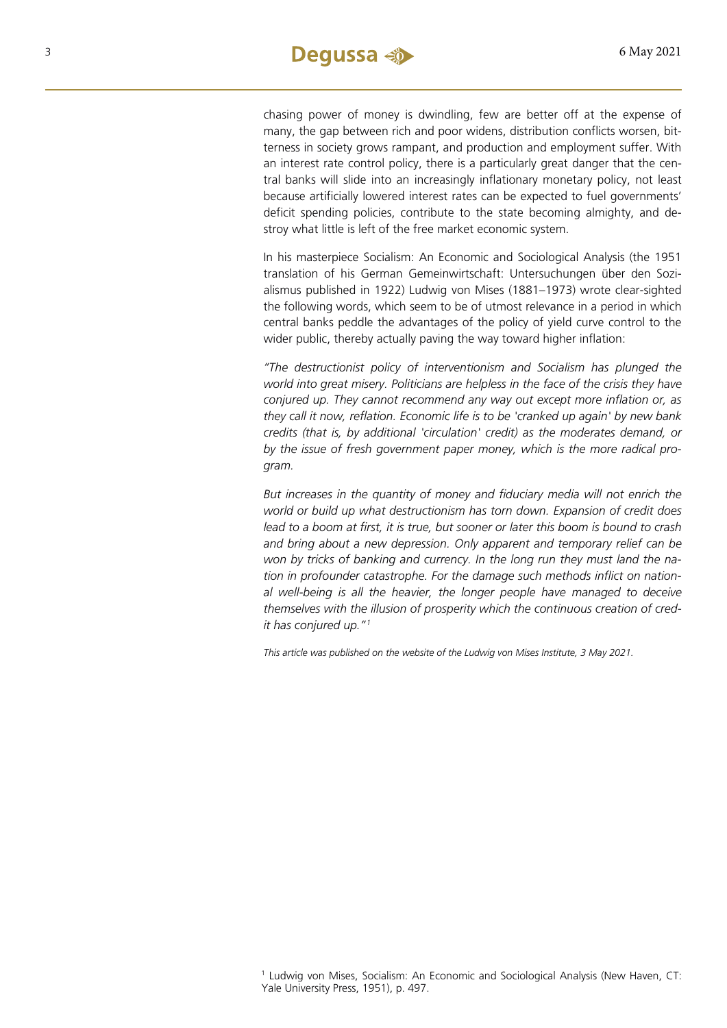chasing power of money is dwindling, few are better off at the expense of many, the gap between rich and poor widens, distribution conflicts worsen, bitterness in society grows rampant, and production and employment suffer. With an interest rate control policy, there is a particularly great danger that the central banks will slide into an increasingly inflationary monetary policy, not least because artificially lowered interest rates can be expected to fuel governments' deficit spending policies, contribute to the state becoming almighty, and destroy what little is left of the free market economic system.

In his masterpiece Socialism: An Economic and Sociological Analysis (the 1951 translation of his German Gemeinwirtschaft: Untersuchungen über den Sozialismus published in 1922) Ludwig von Mises (1881–1973) wrote clear-sighted the following words, which seem to be of utmost relevance in a period in which central banks peddle the advantages of the policy of yield curve control to the wider public, thereby actually paving the way toward higher inflation:

*"The destructionist policy of interventionism and Socialism has plunged the world into great misery. Politicians are helpless in the face of the crisis they have conjured up. They cannot recommend any way out except more inflation or, as they call it now, reflation. Economic life is to be 'cranked up again' by new bank credits (that is, by additional 'circulation' credit) as the moderates demand, or by the issue of fresh government paper money, which is the more radical program.*

*But increases in the quantity of money and fiduciary media will not enrich the world or build up what destructionism has torn down. Expansion of credit does lead to a boom at first, it is true, but sooner or later this boom is bound to crash and bring about a new depression. Only apparent and temporary relief can be won by tricks of banking and currency. In the long run they must land the nation in profounder catastrophe. For the damage such methods inflict on national well-being is all the heavier, the longer people have managed to deceive themselves with the illusion of prosperity which the continuous creation of credit has conjured up."[1](#page-2-0)*

*This article was published on the website of the Ludwig von Mises Institute, 3 May 2021.* 

<span id="page-2-0"></span><sup>1</sup> Ludwig von Mises, Socialism: An Economic and Sociological Analysis (New Haven, CT: Yale University Press, 1951), p. 497.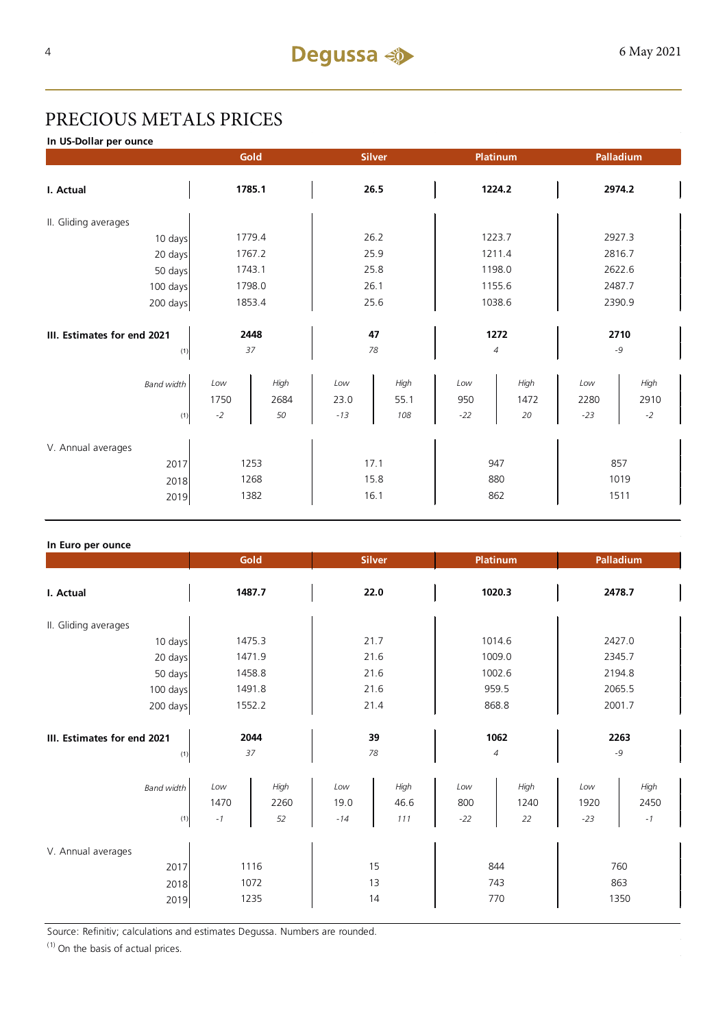## PRECIOUS METALS PRICES

**In US-Dollar per ounce**

|                             | Gold   |        | <b>Silver</b> |      | Platinum                      |        | Palladium |        |  |
|-----------------------------|--------|--------|---------------|------|-------------------------------|--------|-----------|--------|--|
| I. Actual                   | 1785.1 |        | 26.5          |      | 1224.2                        |        | 2974.2    |        |  |
| II. Gliding averages        |        |        |               |      |                               |        |           |        |  |
| 10 days                     |        | 1779.4 |               | 26.2 |                               | 1223.7 |           | 2927.3 |  |
| 20 days                     |        | 1767.2 |               | 25.9 |                               | 1211.4 |           | 2816.7 |  |
| 50 days                     |        | 1743.1 |               | 25.8 |                               | 1198.0 |           | 2622.6 |  |
| 100 days                    |        | 1798.0 |               | 26.1 |                               | 1155.6 |           | 2487.7 |  |
| 200 days                    | 1853.4 |        | 25.6          |      | 1038.6                        |        | 2390.9    |        |  |
|                             |        |        |               |      |                               |        |           |        |  |
| III. Estimates for end 2021 |        | 2448   |               | 47   |                               | 1272   |           | 2710   |  |
| (1)                         | 37     |        | 78            |      | $\ensuremath{\mathnormal{4}}$ |        | $-9$      |        |  |
| <b>Band width</b>           | Low    | High   | Low           | High | Low                           | High   | Low       | High   |  |
|                             | 1750   | 2684   | 23.0          | 55.1 | 950                           | 1472   | 2280      | 2910   |  |
| (1)                         | $-2$   | 50     | $-13$         | 108  | $-22$                         | 20     | $-23$     | $-2$   |  |
|                             |        |        |               |      |                               |        |           |        |  |
| V. Annual averages          |        |        |               |      |                               |        |           |        |  |
| 2017                        | 1253   |        | 17.1          |      | 947                           |        | 857       |        |  |
| 2018                        |        | 1268   |               | 15.8 |                               | 880    |           | 1019   |  |
| 2019                        | 1382   |        | 16.1          |      | 862                           |        | 1511      |        |  |

## **In Euro per ounce**

|                                            | Gold<br><b>Silver</b>                 |                    | <b>Platinum</b>      |                     | Palladium           |                    |                      |                             |  |
|--------------------------------------------|---------------------------------------|--------------------|----------------------|---------------------|---------------------|--------------------|----------------------|-----------------------------|--|
| I. Actual                                  | 1487.7                                |                    | 22.0                 |                     | 1020.3              |                    | 2478.7               |                             |  |
| II. Gliding averages                       |                                       |                    |                      |                     |                     |                    |                      |                             |  |
| 10 days                                    | 1475.3                                |                    | 21.7                 |                     | 1014.6              |                    | 2427.0               |                             |  |
| 20 days                                    | 1471.9                                |                    | 21.6                 |                     | 1009.0              |                    | 2345.7               |                             |  |
| 50 days                                    | 1458.8                                |                    | 21.6                 |                     | 1002.6              |                    | 2194.8               |                             |  |
| 100 days                                   |                                       | 1491.8             |                      | 21.6                |                     | 959.5              |                      | 2065.5                      |  |
| 200 days                                   | 1552.2                                |                    | 21.4                 |                     | 868.8               |                    | 2001.7               |                             |  |
| III. Estimates for end 2021<br>(1)         | 2044<br>37                            |                    | 39<br>78             |                     | 1062<br>4           |                    | 2263<br>$-9$         |                             |  |
| <b>Band width</b><br>(1)                   | Low<br>1470<br>$\mathbin{\mathsf{I}}$ | High<br>2260<br>52 | Low<br>19.0<br>$-14$ | High<br>46.6<br>111 | Low<br>800<br>$-22$ | High<br>1240<br>22 | Low<br>1920<br>$-23$ | High<br>2450<br>$^{\rm -1}$ |  |
| V. Annual averages<br>2017<br>2018<br>2019 | 1116<br>1072<br>1235                  |                    | 15<br>13<br>14       |                     | 844<br>743<br>770   |                    | 760<br>863<br>1350   |                             |  |

Source: Refinitiv; calculations and estimates Degussa. Numbers are rounded.

 $(1)$  On the basis of actual prices.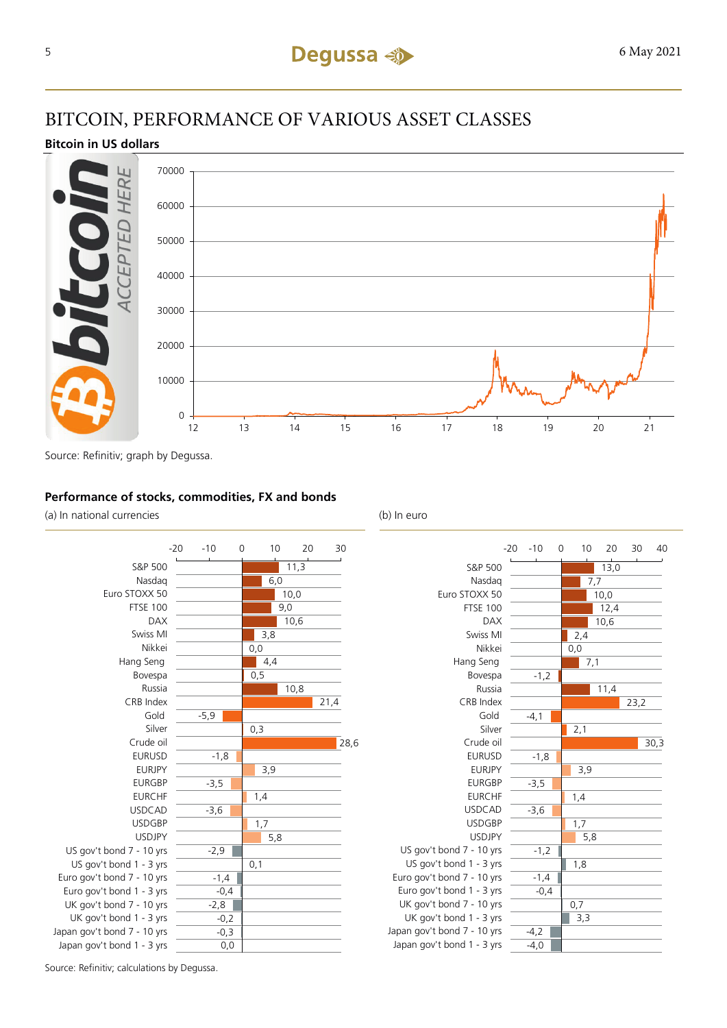## BITCOIN, PERFORMANCE OF VARIOUS ASSET CLASSES

## **Bitcoin in US dollars**



Source: Refinitiv; graph by Degussa.

## **Performance of stocks, commodities, FX and bonds**

(a) In national currencies (b) In euro





Source: Refinitiv; calculations by Degussa.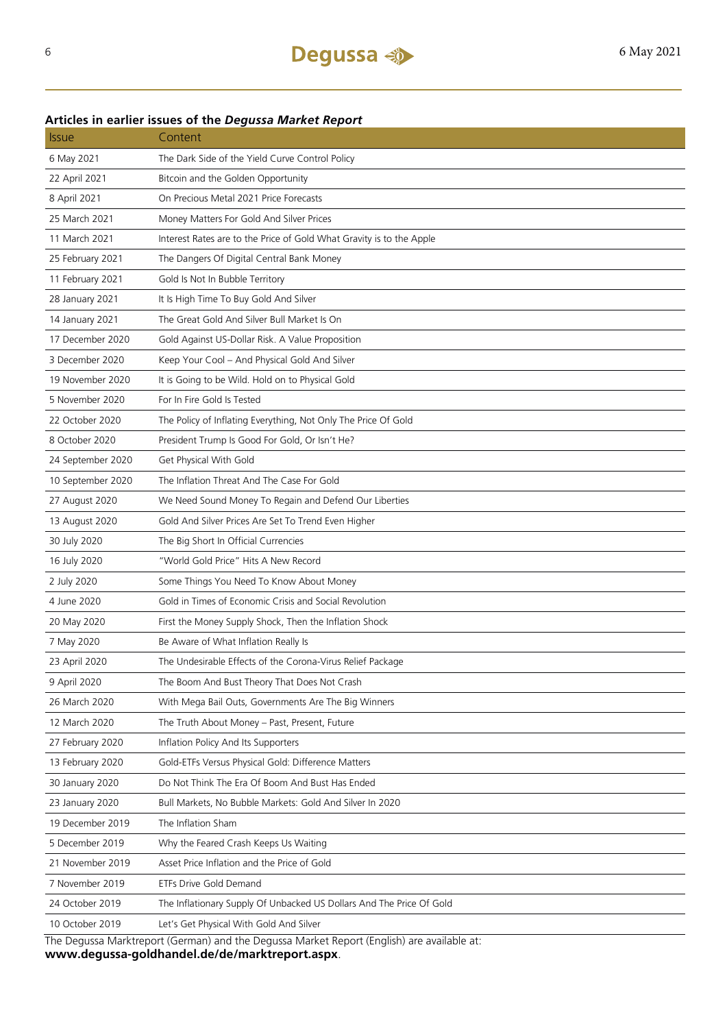## **Articles in earlier issues of the** *Degussa Market Report*

| <b>Issue</b>      | Content                                                                                    |
|-------------------|--------------------------------------------------------------------------------------------|
| 6 May 2021        | The Dark Side of the Yield Curve Control Policy                                            |
| 22 April 2021     | Bitcoin and the Golden Opportunity                                                         |
| 8 April 2021      | On Precious Metal 2021 Price Forecasts                                                     |
| 25 March 2021     | Money Matters For Gold And Silver Prices                                                   |
| 11 March 2021     | Interest Rates are to the Price of Gold What Gravity is to the Apple                       |
| 25 February 2021  | The Dangers Of Digital Central Bank Money                                                  |
| 11 February 2021  | Gold Is Not In Bubble Territory                                                            |
| 28 January 2021   | It Is High Time To Buy Gold And Silver                                                     |
| 14 January 2021   | The Great Gold And Silver Bull Market Is On                                                |
| 17 December 2020  | Gold Against US-Dollar Risk. A Value Proposition                                           |
| 3 December 2020   | Keep Your Cool - And Physical Gold And Silver                                              |
| 19 November 2020  | It is Going to be Wild. Hold on to Physical Gold                                           |
| 5 November 2020   | For In Fire Gold Is Tested                                                                 |
| 22 October 2020   | The Policy of Inflating Everything, Not Only The Price Of Gold                             |
| 8 October 2020    | President Trump Is Good For Gold, Or Isn't He?                                             |
| 24 September 2020 | Get Physical With Gold                                                                     |
| 10 September 2020 | The Inflation Threat And The Case For Gold                                                 |
| 27 August 2020    | We Need Sound Money To Regain and Defend Our Liberties                                     |
| 13 August 2020    | Gold And Silver Prices Are Set To Trend Even Higher                                        |
| 30 July 2020      | The Big Short In Official Currencies                                                       |
| 16 July 2020      | "World Gold Price" Hits A New Record                                                       |
| 2 July 2020       | Some Things You Need To Know About Money                                                   |
| 4 June 2020       | Gold in Times of Economic Crisis and Social Revolution                                     |
| 20 May 2020       | First the Money Supply Shock, Then the Inflation Shock                                     |
| 7 May 2020        | Be Aware of What Inflation Really Is                                                       |
| 23 April 2020     | The Undesirable Effects of the Corona-Virus Relief Package                                 |
| 9 April 2020      | The Boom And Bust Theory That Does Not Crash                                               |
| 26 March 2020     | With Mega Bail Outs, Governments Are The Big Winners                                       |
| 12 March 2020     | The Truth About Money - Past, Present, Future                                              |
| 27 February 2020  | Inflation Policy And Its Supporters                                                        |
| 13 February 2020  | Gold-ETFs Versus Physical Gold: Difference Matters                                         |
| 30 January 2020   | Do Not Think The Era Of Boom And Bust Has Ended                                            |
| 23 January 2020   | Bull Markets, No Bubble Markets: Gold And Silver In 2020                                   |
| 19 December 2019  | The Inflation Sham                                                                         |
| 5 December 2019   | Why the Feared Crash Keeps Us Waiting                                                      |
| 21 November 2019  | Asset Price Inflation and the Price of Gold                                                |
| 7 November 2019   | ETFs Drive Gold Demand                                                                     |
| 24 October 2019   | The Inflationary Supply Of Unbacked US Dollars And The Price Of Gold                       |
| 10 October 2019   | Let's Get Physical With Gold And Silver                                                    |
|                   | The Deguses Marktroport (German) and the Deguses Market Report (English) are available at: |

The Degussa Marktreport (German) and the Degussa Market Report (English) are available at: **www.degussa-goldhandel.de/de/marktreport.aspx**.